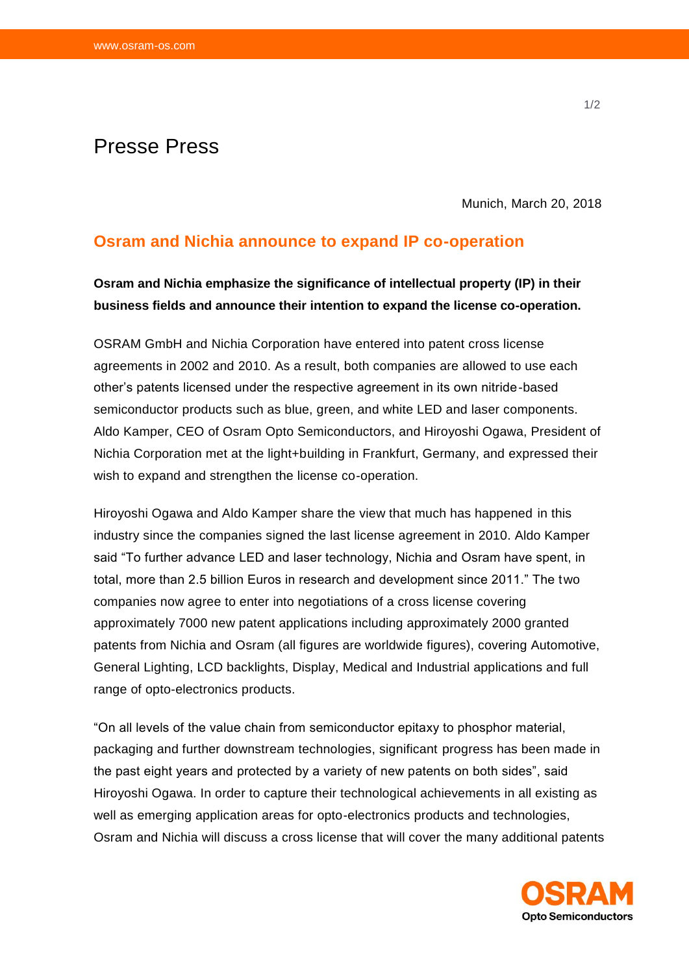# Presse Press

Munich, March 20, 2018

### **Osram and Nichia announce to expand IP co-operation**

## **Osram and Nichia emphasize the significance of intellectual property (IP) in their business fields and announce their intention to expand the license co-operation.**

OSRAM GmbH and Nichia Corporation have entered into patent cross license agreements in 2002 and 2010. As a result, both companies are allowed to use each other's patents licensed under the respective agreement in its own nitride-based semiconductor products such as blue, green, and white LED and laser components. Aldo Kamper, CEO of Osram Opto Semiconductors, and Hiroyoshi Ogawa, President of Nichia Corporation met at the light+building in Frankfurt, Germany, and expressed their wish to expand and strengthen the license co-operation.

Hiroyoshi Ogawa and Aldo Kamper share the view that much has happened in this industry since the companies signed the last license agreement in 2010. Aldo Kamper said "To further advance LED and laser technology, Nichia and Osram have spent, in total, more than 2.5 billion Euros in research and development since 2011." The two companies now agree to enter into negotiations of a cross license covering approximately 7000 new patent applications including approximately 2000 granted patents from Nichia and Osram (all figures are worldwide figures), covering Automotive, General Lighting, LCD backlights, Display, Medical and Industrial applications and full range of opto-electronics products.

"On all levels of the value chain from semiconductor epitaxy to phosphor material, packaging and further downstream technologies, significant progress has been made in the past eight years and protected by a variety of new patents on both sides", said Hiroyoshi Ogawa. In order to capture their technological achievements in all existing as well as emerging application areas for opto-electronics products and technologies, Osram and Nichia will discuss a cross license that will cover the many additional patents